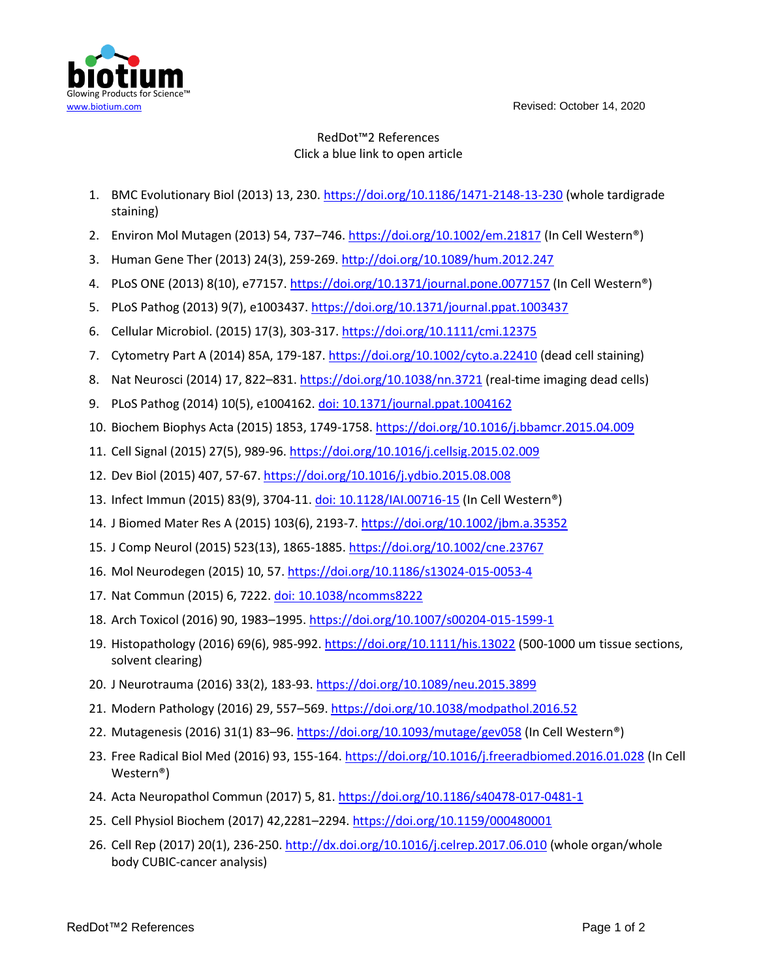www.biotium.com Revised: October 14, 2020



## RedDot™2 References Click a blue link to open article

- 1. BMC Evolutionary Biol (2013) 13, 230[. https://doi.org/10.1186/1471-2148-13-230](https://doi.org/10.1186/1471-2148-13-230) (whole tardigrade staining)
- 2. Environ Mol Mutagen (2013) 54, 737–746. <https://doi.org/10.1002/em.21817> (In Cell Western®)
- 3. Human Gene Ther (2013) 24(3), 259-269.<http://doi.org/10.1089/hum.2012.247>
- 4. PLoS ONE (2013) 8(10), e77157[. https://doi.org/10.1371/journal.pone.0077157](https://doi.org/10.1371/journal.pone.0077157) (In Cell Western®)
- 5. PLoS Pathog (2013) 9(7), e1003437.<https://doi.org/10.1371/journal.ppat.1003437>
- 6. Cellular Microbiol. (2015) 17(3), 303-317[. https://doi.org/10.1111/cmi.12375](https://doi.org/10.1111/cmi.12375)
- 7. Cytometry Part A (2014) 85A, 179-187[. https://doi.org/10.1002/cyto.a.22410](https://doi.org/10.1002/cyto.a.22410) (dead cell staining)
- 8. Nat Neurosci (2014) 17, 822-831[. https://doi.org/10.1038/nn.3721](https://doi.org/10.1038/nn.3721) (real-time imaging dead cells)
- 9. PLoS Pathog (2014) 10(5), e1004162[. doi: 10.1371/journal.ppat.1004162](https://journals.plos.org/plospathogens/article?id=10.1371/journal.ppat.1004162)
- 10. Biochem Biophys Acta (2015) 1853, 1749-1758.<https://doi.org/10.1016/j.bbamcr.2015.04.009>
- 11. Cell Signal (2015) 27(5), 989-96.<https://doi.org/10.1016/j.cellsig.2015.02.009>
- 12. Dev Biol (2015) 407, 57-67. <https://doi.org/10.1016/j.ydbio.2015.08.008>
- 13. Infect Immun (2015) 83(9), 3704-11. [doi: 10.1128/IAI.00716-15](https://iai.asm.org/content/83/9/3704.long) (In Cell Western®)
- 14. J Biomed Mater Res A (2015) 103(6), 2193-7.<https://doi.org/10.1002/jbm.a.35352>
- 15. J Comp Neurol (2015) 523(13), 1865-1885. <https://doi.org/10.1002/cne.23767>
- 16. Mol Neurodegen (2015) 10, 57[. https://doi.org/10.1186/s13024-015-0053-4](https://doi.org/10.1186/s13024-015-0053-4)
- 17. Nat Commun (2015) 6, 7222[. doi: 10.1038/ncomms8222](https://www.nature.com/articles/ncomms8222.pdf)
- 18. Arch Toxicol (2016) 90, 1983–1995.<https://doi.org/10.1007/s00204-015-1599-1>
- 19. Histopathology (2016) 69(6), 985-992. <https://doi.org/10.1111/his.13022> (500-1000 um tissue sections, solvent clearing)
- 20. J Neurotrauma (2016) 33(2), 183-93[. https://doi.org/10.1089/neu.2015.3899](https://doi.org/10.1089/neu.2015.3899)
- 21. Modern Pathology (2016) 29, 557–569.<https://doi.org/10.1038/modpathol.2016.52>
- 22. Mutagenesis (2016) 31(1) 83–96. <https://doi.org/10.1093/mutage/gev058> (In Cell Western®)
- 23. Free Radical Biol Med (2016) 93, 155-164.<https://doi.org/10.1016/j.freeradbiomed.2016.01.028> (In Cell Western®)
- 24. Acta Neuropathol Commun (2017) 5, 81. <https://doi.org/10.1186/s40478-017-0481-1>
- 25. Cell Physiol Biochem (2017) 42,2281–2294.<https://doi.org/10.1159/000480001>
- 26. Cell Rep (2017) 20(1), 236-250. <http://dx.doi.org/10.1016/j.celrep.2017.06.010> (whole organ/whole body CUBIC-cancer analysis)